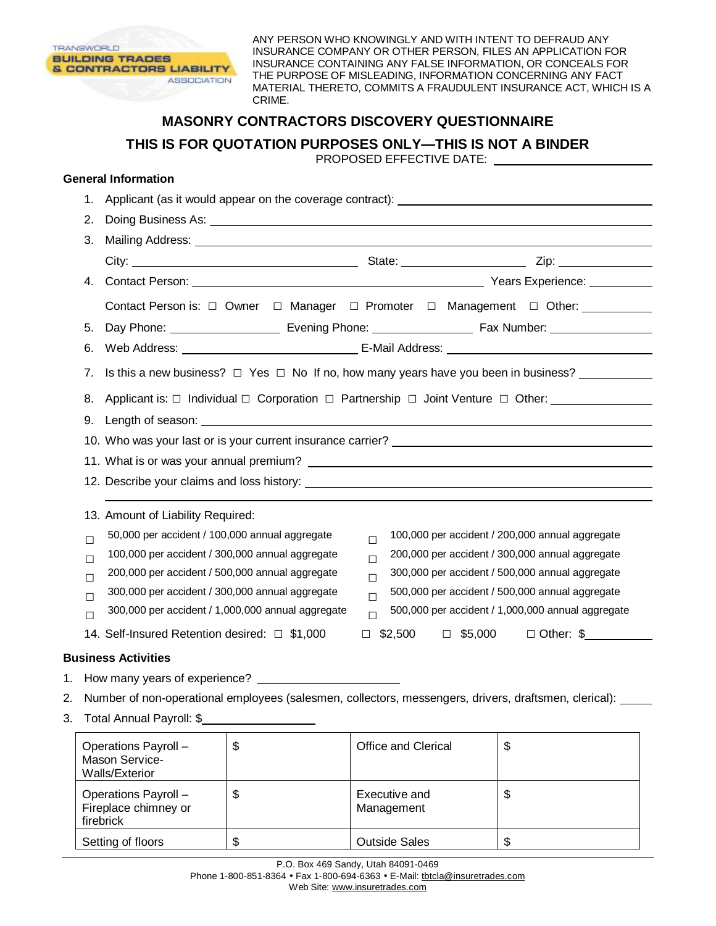

ANY PERSON WHO KNOWINGLY AND WITH INTENT TO DEFRAUD ANY INSURANCE COMPANY OR OTHER PERSON, FILES AN APPLICATION FOR INSURANCE CONTAINING ANY FALSE INFORMATION, OR CONCEALS FOR THE PURPOSE OF MISLEADING, INFORMATION CONCERNING ANY FACT MATERIAL THERETO, COMMITS A FRAUDULENT INSURANCE ACT, WHICH IS A CRIME.

## **MASONRY CONTRACTORS DISCOVERY QUESTIONNAIRE**

**THIS IS FOR QUOTATION PURPOSES ONLY—THIS IS NOT A BINDER** 

PROPOSED EFFECTIVE DATE:

## **General Information**

|    | 1.                                                                                                  | Applicant (as it would appear on the coverage contract): ________________________                                |  |  |  |
|----|-----------------------------------------------------------------------------------------------------|------------------------------------------------------------------------------------------------------------------|--|--|--|
|    | 2.                                                                                                  |                                                                                                                  |  |  |  |
|    | 3.                                                                                                  |                                                                                                                  |  |  |  |
|    |                                                                                                     |                                                                                                                  |  |  |  |
|    | 4.                                                                                                  |                                                                                                                  |  |  |  |
|    |                                                                                                     | Contact Person is: □ Owner □ Manager □ Promoter □ Management □ Other: __________                                 |  |  |  |
|    | 5.                                                                                                  |                                                                                                                  |  |  |  |
|    | 6.                                                                                                  |                                                                                                                  |  |  |  |
|    | Is this a new business? $\Box$ Yes $\Box$ No If no, how many years have you been in business?<br>7. |                                                                                                                  |  |  |  |
|    |                                                                                                     | 8. Applicant is: □ Individual □ Corporation □ Partnership □ Joint Venture □ Other: ________________              |  |  |  |
|    |                                                                                                     |                                                                                                                  |  |  |  |
|    |                                                                                                     |                                                                                                                  |  |  |  |
|    |                                                                                                     |                                                                                                                  |  |  |  |
|    |                                                                                                     |                                                                                                                  |  |  |  |
|    |                                                                                                     | 13. Amount of Liability Required:                                                                                |  |  |  |
|    | $\Box$                                                                                              | 50,000 per accident / 100,000 annual aggregate<br>100,000 per accident / 200,000 annual aggregate<br>$\Box$      |  |  |  |
|    | $\Box$                                                                                              | 100,000 per accident / 300,000 annual aggregate<br>200,000 per accident / 300,000 annual aggregate<br>$\Box$     |  |  |  |
|    | П                                                                                                   | 200,000 per accident / 500,000 annual aggregate<br>300,000 per accident / 500,000 annual aggregate<br>П          |  |  |  |
|    | П                                                                                                   | 500,000 per accident / 500,000 annual aggregate<br>300,000 per accident / 300,000 annual aggregate<br>$\Box$     |  |  |  |
|    | П                                                                                                   | 300,000 per accident / 1,000,000 annual aggregate<br>500,000 per accident / 1,000,000 annual aggregate<br>$\Box$ |  |  |  |
|    |                                                                                                     | $$2,500$ $$\square$5,000$<br>$\Box$ Other: \$<br>14. Self-Insured Retention desired: □ \$1,000<br>$\Box$         |  |  |  |
|    | <b>Business Activities</b>                                                                          |                                                                                                                  |  |  |  |
| 1. |                                                                                                     |                                                                                                                  |  |  |  |
| 2. |                                                                                                     | Number of non-operational employees (salesmen, collectors, messengers, drivers, draftsmen, clerical):            |  |  |  |

3. Total Annual Payroll: \$

| Operations Payroll -<br><b>Mason Service-</b><br><b>Walls/Exterior</b> | \$ | Office and Clerical         | Φ  |
|------------------------------------------------------------------------|----|-----------------------------|----|
| Operations Payroll -<br>Fireplace chimney or<br>firebrick              | \$ | Executive and<br>Management | \$ |
| Setting of floors                                                      | S  | <b>Outside Sales</b>        | Æ  |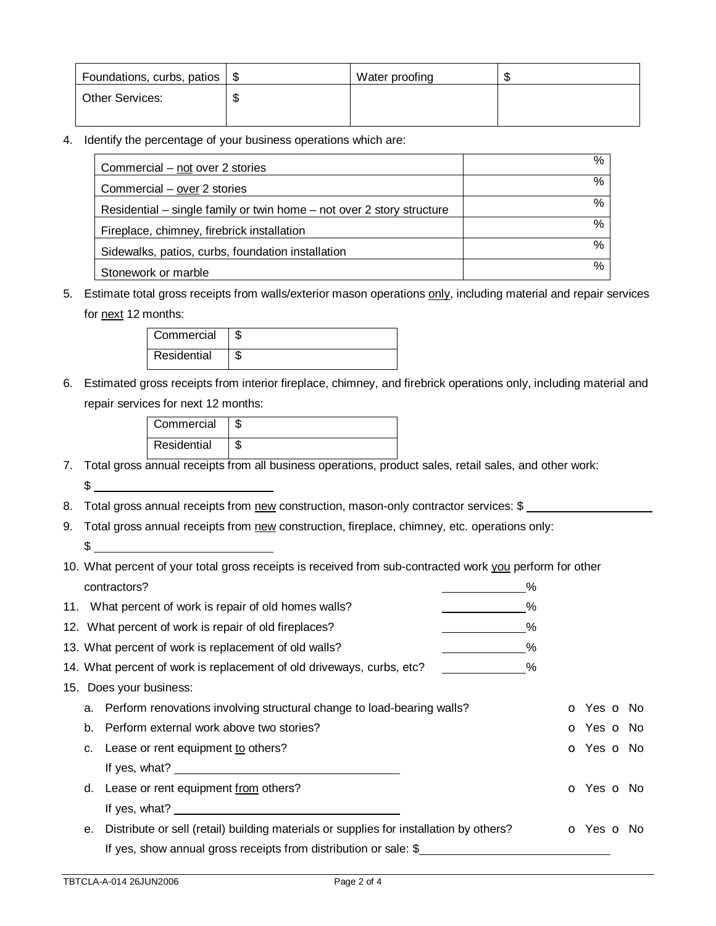| Foundations, curbs, patios   \$ | Water proofing |  |
|---------------------------------|----------------|--|
| <b>Other Services:</b>          |                |  |
|                                 |                |  |

4. Identify the percentage of your business operations which are:

| Commercial – not over 2 stories                                       | %    |
|-----------------------------------------------------------------------|------|
| Commercial - over 2 stories                                           | %    |
| Residential – single family or twin home – not over 2 story structure | %    |
| Fireplace, chimney, firebrick installation                            | $\%$ |
| Sidewalks, patios, curbs, foundation installation                     | $\%$ |
| Stonework or marble                                                   | %    |

5. Estimate total gross receipts from walls/exterior mason operations only, including material and repair services for next 12 months:

| Commercial  |  |
|-------------|--|
| Residential |  |

6. Estimated gross receipts from interior fireplace, chimney, and firebrick operations only, including material and repair services for next 12 months:

| Commercial  |  |
|-------------|--|
| Residential |  |

7. Total gross annual receipts from all business operations, product sales, retail sales, and other work:  $\frac{1}{2}$ 

8. Total gross annual receipts from new construction, mason-only contractor services: \$

- 9. Total gross annual receipts from new construction, fireplace, chimney, etc. operations only:  $\frac{1}{2}$
- 10. What percent of your total gross receipts is received from sub-contracted work you perform for other contractors? %

|    | 11. What percent of work is repair of old homes walls?                                 | $\%$ |                          |  |
|----|----------------------------------------------------------------------------------------|------|--------------------------|--|
|    | 12. What percent of work is repair of old fireplaces?                                  | ℅    |                          |  |
|    | 13. What percent of work is replacement of old walls?                                  | ℅    |                          |  |
|    | 14. What percent of work is replacement of old driveways, curbs, etc?                  | $\%$ |                          |  |
|    | 15. Does your business:                                                                |      |                          |  |
|    | a. Perform renovations involving structural change to load-bearing walls?              |      | <b>o</b> Yes <b>o</b> No |  |
|    | b. Perform external work above two stories?                                            |      | <b>O</b> Yes <b>O</b> No |  |
|    | c. Lease or rent equipment to others?                                                  |      | <b>O</b> Yes <b>O</b> No |  |
|    | If yes, what?                                                                          |      |                          |  |
|    | d. Lease or rent equipment from others?                                                |      | O Yes O No               |  |
|    | If yes, what?                                                                          |      |                          |  |
| е. | Distribute or sell (retail) building materials or supplies for installation by others? |      | <b>O</b> Yes <b>O</b> No |  |
|    | If yes, show annual gross receipts from distribution or sale: \$                       |      |                          |  |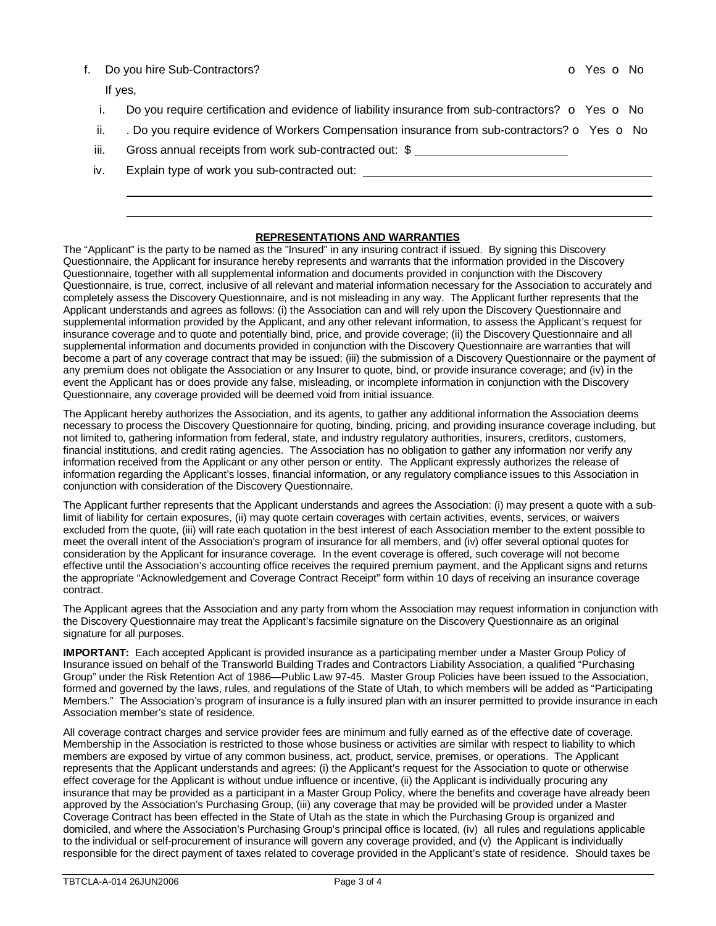## f. Do you hire Sub-Contractors? **o Yes o No**

If yes,

- i. Do you require certification and evidence of liability insurance from sub-contractors?  $\bullet$  Yes  $\bullet$  No
- ii.  $\therefore$  Do you require evidence of Workers Compensation insurance from sub-contractors?  $\circ$  Yes  $\circ$  No
- iii. Gross annual receipts from work sub-contracted out: \$
- iv. Explain type of work you sub-contracted out:

## **REPRESENTATIONS AND WARRANTIES**

The "Applicant" is the party to be named as the "Insured" in any insuring contract if issued. By signing this Discovery Questionnaire, the Applicant for insurance hereby represents and warrants that the information provided in the Discovery Questionnaire, together with all supplemental information and documents provided in conjunction with the Discovery Questionnaire, is true, correct, inclusive of all relevant and material information necessary for the Association to accurately and completely assess the Discovery Questionnaire, and is not misleading in any way. The Applicant further represents that the Applicant understands and agrees as follows: (i) the Association can and will rely upon the Discovery Questionnaire and supplemental information provided by the Applicant, and any other relevant information, to assess the Applicant's request for insurance coverage and to quote and potentially bind, price, and provide coverage; (ii) the Discovery Questionnaire and all supplemental information and documents provided in conjunction with the Discovery Questionnaire are warranties that will become a part of any coverage contract that may be issued; (iii) the submission of a Discovery Questionnaire or the payment of any premium does not obligate the Association or any Insurer to quote, bind, or provide insurance coverage; and (iv) in the event the Applicant has or does provide any false, misleading, or incomplete information in conjunction with the Discovery Questionnaire, any coverage provided will be deemed void from initial issuance.

The Applicant hereby authorizes the Association, and its agents, to gather any additional information the Association deems necessary to process the Discovery Questionnaire for quoting, binding, pricing, and providing insurance coverage including, but not limited to, gathering information from federal, state, and industry regulatory authorities, insurers, creditors, customers, financial institutions, and credit rating agencies. The Association has no obligation to gather any information nor verify any information received from the Applicant or any other person or entity. The Applicant expressly authorizes the release of information regarding the Applicant's losses, financial information, or any regulatory compliance issues to this Association in conjunction with consideration of the Discovery Questionnaire.

The Applicant further represents that the Applicant understands and agrees the Association: (i) may present a quote with a sublimit of liability for certain exposures, (ii) may quote certain coverages with certain activities, events, services, or waivers excluded from the quote, (iii) will rate each quotation in the best interest of each Association member to the extent possible to meet the overall intent of the Association's program of insurance for all members, and (iv) offer several optional quotes for consideration by the Applicant for insurance coverage. In the event coverage is offered, such coverage will not become effective until the Association's accounting office receives the required premium payment, and the Applicant signs and returns the appropriate "Acknowledgement and Coverage Contract Receipt" form within 10 days of receiving an insurance coverage contract.

The Applicant agrees that the Association and any party from whom the Association may request information in conjunction with the Discovery Questionnaire may treat the Applicant's facsimile signature on the Discovery Questionnaire as an original signature for all purposes.

**IMPORTANT:** Each accepted Applicant is provided insurance as a participating member under a Master Group Policy of Insurance issued on behalf of the Transworld Building Trades and Contractors Liability Association, a qualified "Purchasing Group" under the Risk Retention Act of 1986—Public Law 97-45. Master Group Policies have been issued to the Association, formed and governed by the laws, rules, and regulations of the State of Utah, to which members will be added as "Participating Members." The Association's program of insurance is a fully insured plan with an insurer permitted to provide insurance in each Association member's state of residence.

All coverage contract charges and service provider fees are minimum and fully earned as of the effective date of coverage. Membership in the Association is restricted to those whose business or activities are similar with respect to liability to which members are exposed by virtue of any common business, act, product, service, premises, or operations. The Applicant represents that the Applicant understands and agrees: (i) the Applicant's request for the Association to quote or otherwise effect coverage for the Applicant is without undue influence or incentive, (ii) the Applicant is individually procuring any insurance that may be provided as a participant in a Master Group Policy, where the benefits and coverage have already been approved by the Association's Purchasing Group, (iii) any coverage that may be provided will be provided under a Master Coverage Contract has been effected in the State of Utah as the state in which the Purchasing Group is organized and domiciled, and where the Association's Purchasing Group's principal office is located, (iv) all rules and regulations applicable to the individual or self-procurement of insurance will govern any coverage provided, and (v) the Applicant is individually responsible for the direct payment of taxes related to coverage provided in the Applicant's state of residence. Should taxes be